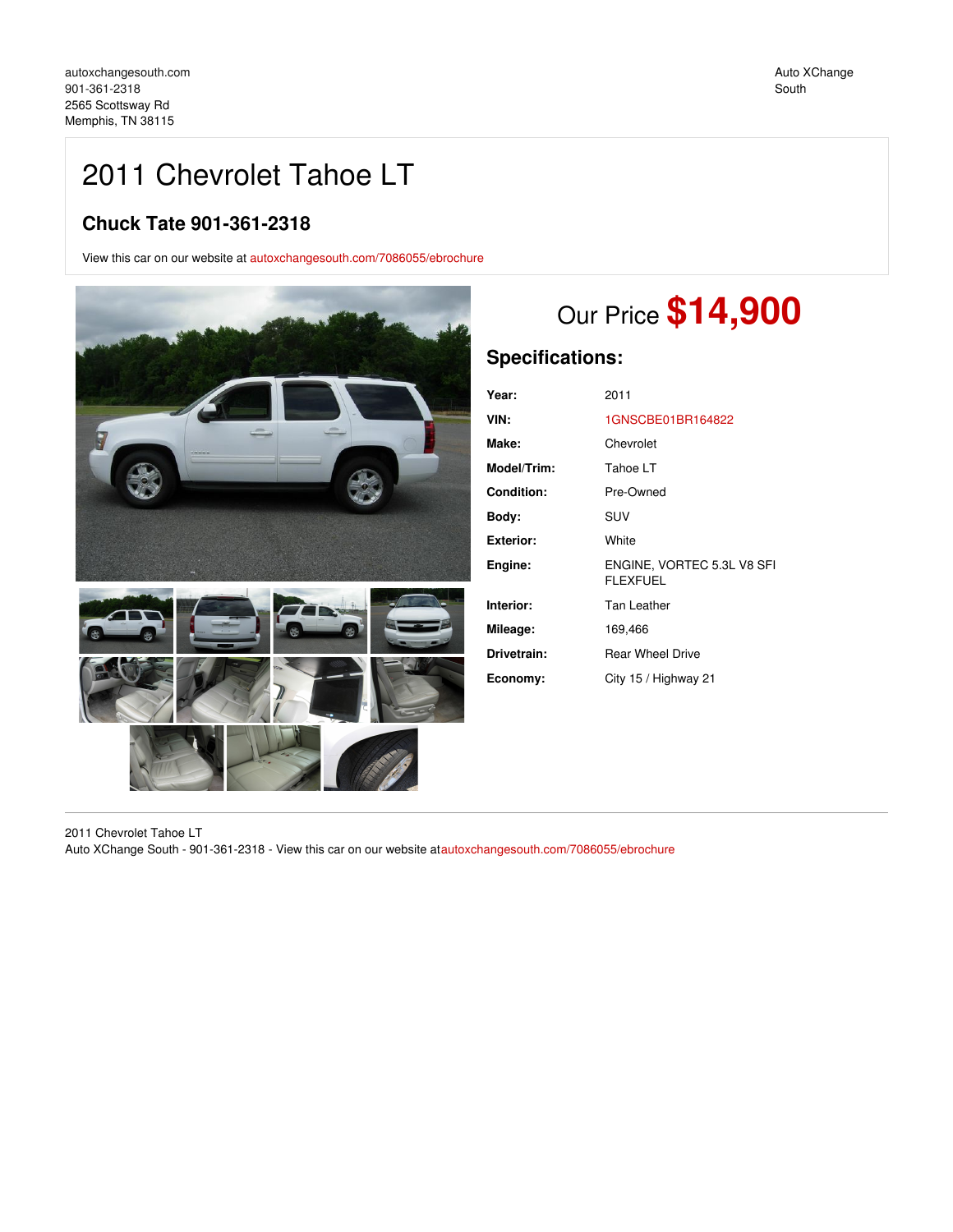Auto XChange South

# 2011 Chevrolet Tahoe LT

## **Chuck Tate 901-361-2318**

View this car on our website at [autoxchangesouth.com/7086055/ebrochure](https://autoxchangesouth.com/vehicle/7086055/2011-chevrolet-tahoe-lt-memphis-tn-38115/7086055/ebrochure)



# Our Price **\$14,900**

# **Specifications:**

| Year:             | 2011                                          |
|-------------------|-----------------------------------------------|
| VIN:              | 1GNSCBE01BR164822                             |
| Make:             | Chevrolet                                     |
| Model/Trim:       | Tahoe LT                                      |
| <b>Condition:</b> | Pre-Owned                                     |
| Body:             | SUV                                           |
| <b>Exterior:</b>  | White                                         |
| Engine:           | ENGINE, VORTEC 5.3L V8 SFI<br><b>FLEXFUEL</b> |
| Interior:         | Tan Leather                                   |
| Mileage:          | 169,466                                       |
| Drivetrain:       | <b>Rear Wheel Drive</b>                       |
| Economy:          | City 15 / Highway 21                          |

2011 Chevrolet Tahoe LT Auto XChange South - 901-361-2318 - View this car on our website at[autoxchangesouth.com/7086055/ebrochure](https://autoxchangesouth.com/vehicle/7086055/2011-chevrolet-tahoe-lt-memphis-tn-38115/7086055/ebrochure)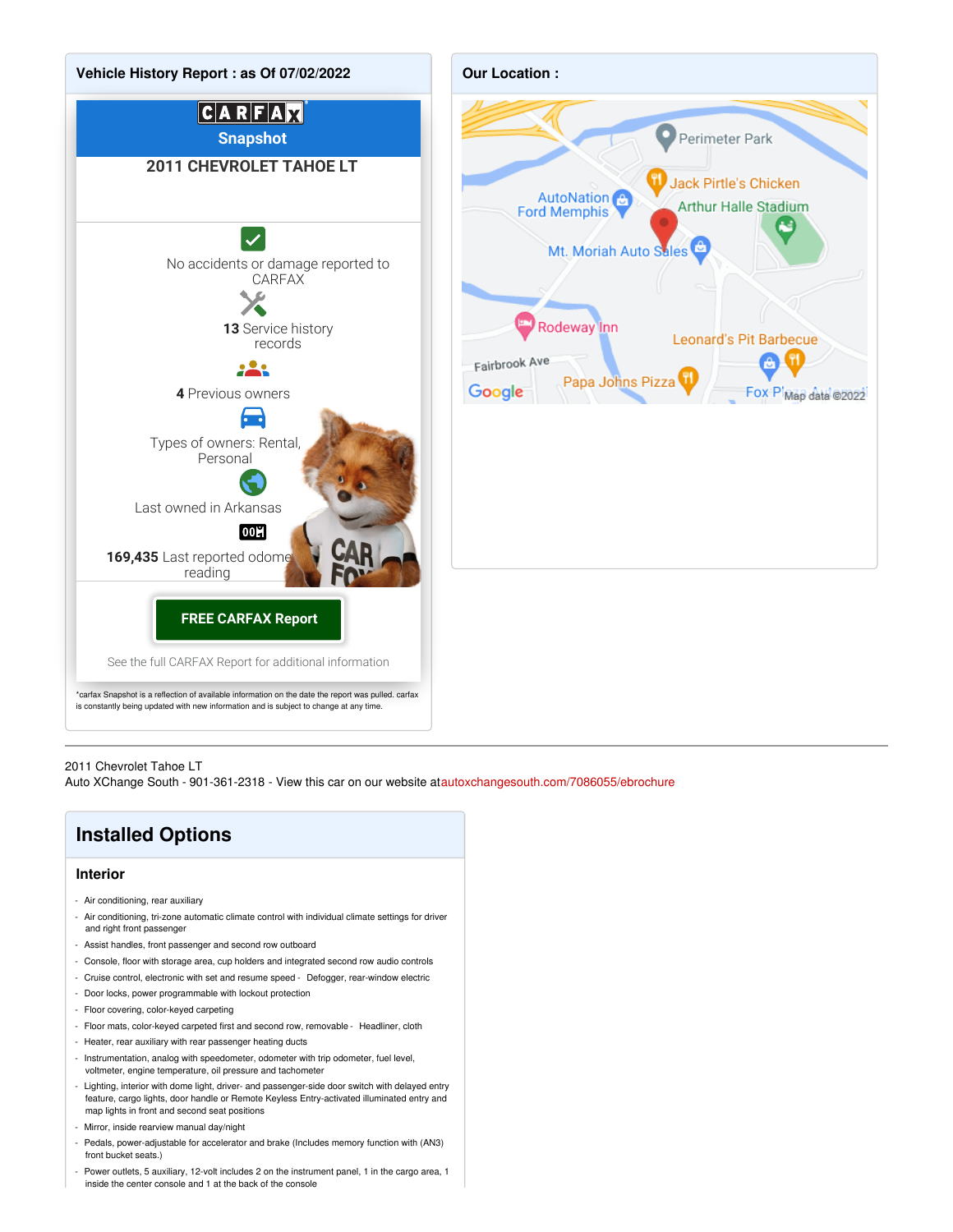

#### 2011 Chevrolet Tahoe LT

Auto XChange South - 901-361-2318 - View this car on our website at[autoxchangesouth.com/7086055/ebrochure](https://autoxchangesouth.com/vehicle/7086055/2011-chevrolet-tahoe-lt-memphis-tn-38115/7086055/ebrochure)

# **Installed Options**

#### **Interior**

- Air conditioning, rear auxiliary
- Air conditioning, tri-zone automatic climate control with individual climate settings for driver and right front passenger
- Assist handles, front passenger and second row outboard
- Console, floor with storage area, cup holders and integrated second row audio controls
- Cruise control, electronic with set and resume speed Defogger, rear-window electric
- Door locks, power programmable with lockout protection
- Floor covering, color-keyed carpeting
- Floor mats, color-keyed carpeted first and second row, removable Headliner, cloth
- Heater, rear auxiliary with rear passenger heating ducts
- Instrumentation, analog with speedometer, odometer with trip odometer, fuel level, voltmeter, engine temperature, oil pressure and tachometer
- Lighting, interior with dome light, driver- and passenger-side door switch with delayed entry feature, cargo lights, door handle or Remote Keyless Entry-activated illuminated entry and map lights in front and second seat positions
- Mirror, inside rearview manual day/night
- Pedals, power-adjustable for accelerator and brake (Includes memory function with (AN3) front bucket seats.)
- Power outlets, 5 auxiliary, 12-volt includes 2 on the instrument panel, 1 in the cargo area, 1 inside the center console and 1 at the back of the console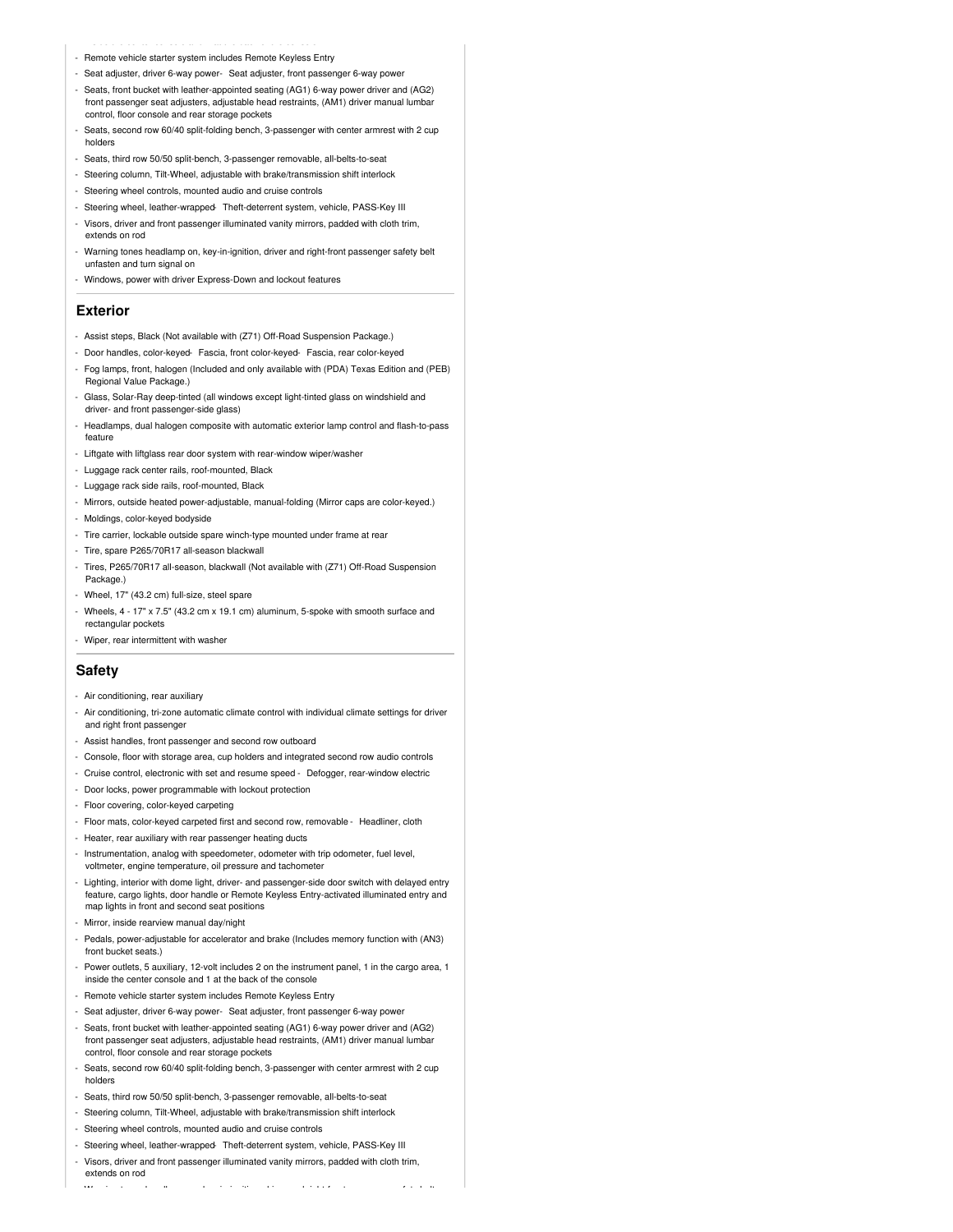- Remote vehicle starter system includes Remote Keyless Entry
- Seat adjuster, driver 6-way power- Seat adjuster, front passenger 6-way power
- Seats, front bucket with leather-appointed seating (AG1) 6-way power driver and (AG2) front passenger seat adjusters, adjustable head restraints, (AM1) driver manual lumbar control, floor console and rear storage pockets
- Seats, second row 60/40 split-folding bench, 3-passenger with center armrest with 2 cup holders
- Seats, third row 50/50 split-bench, 3-passenger removable, all-belts-to-seat
- Steering column, Tilt-Wheel, adjustable with brake/transmission shift interlock
- Steering wheel controls, mounted audio and cruise controls
- Steering wheel, leather-wrapped- Theft-deterrent system, vehicle, PASS-Key III
- Visors, driver and front passenger illuminated vanity mirrors, padded with cloth trim, extends on rod
- Warning tones headlamp on, key-in-ignition, driver and right-front passenger safety belt unfasten and turn signal on
- Windows, power with driver Express-Down and lockout features

### **Exterior**

- Assist steps, Black (Not available with (Z71) Off-Road Suspension Package.)
- Door handles, color-keyed- Fascia, front color-keyed- Fascia, rear color-keyed
- Fog lamps, front, halogen (Included and only available with (PDA) Texas Edition and (PEB) Regional Value Package.)
- Glass, Solar-Ray deep-tinted (all windows except light-tinted glass on windshield and driver- and front passenger-side glass)
- Headlamps, dual halogen composite with automatic exterior lamp control and flash-to-pass feature
- Liftgate with liftglass rear door system with rear-window wiper/washer
- Luggage rack center rails, roof-mounted, Black
- Luggage rack side rails, roof-mounted, Black
- Mirrors, outside heated power-adjustable, manual-folding (Mirror caps are color-keyed.)
- Moldings, color-keyed bodyside
- Tire carrier, lockable outside spare winch-type mounted under frame at rear
- Tire, spare P265/70R17 all-season blackwall
- Tires, P265/70R17 all-season, blackwall (Not available with (Z71) Off-Road Suspension Package.)
- Wheel, 17" (43.2 cm) full-size, steel spare
- Wheels, 4 17" x 7.5" (43.2 cm x 19.1 cm) aluminum, 5-spoke with smooth surface and rectangular pockets
- Wiper, rear intermittent with washer

## **Safety**

- Air conditioning, rear auxiliary
- Air conditioning, tri-zone automatic climate control with individual climate settings for driver and right front passenger
- Assist handles, front passenger and second row outboard
- Console, floor with storage area, cup holders and integrated second row audio controls
- Cruise control, electronic with set and resume speed Defogger, rear-window electric
- Door locks, power programmable with lockout protection
- Floor covering, color-keyed carpeting
- Floor mats, color-keyed carpeted first and second row, removable Headliner, cloth
- Heater, rear auxiliary with rear passenger heating ducts
- Instrumentation, analog with speedometer, odometer with trip odometer, fuel level, voltmeter, engine temperature, oil pressure and tachometer
- Lighting, interior with dome light, driver- and passenger-side door switch with delayed entry feature, cargo lights, door handle or Remote Keyless Entry-activated illuminated entry and map lights in front and second seat positions
- Mirror, inside rearview manual day/night
- Pedals, power-adjustable for accelerator and brake (Includes memory function with (AN3) front bucket seats.)
- Power outlets, 5 auxiliary, 12-volt includes 2 on the instrument panel, 1 in the cargo area, 1 inside the center console and 1 at the back of the console
- Remote vehicle starter system includes Remote Keyless Entry
- Seat adjuster, driver 6-way power- Seat adjuster, front passenger 6-way power
- Seats, front bucket with leather-appointed seating (AG1) 6-way power driver and (AG2) front passenger seat adjusters, adjustable head restraints, (AM1) driver manual lumbar control, floor console and rear storage pockets
- Seats, second row 60/40 split-folding bench, 3-passenger with center armrest with 2 cup holders
- Seats, third row 50/50 split-bench, 3-passenger removable, all-belts-to-seat
- Steering column, Tilt-Wheel, adjustable with brake/transmission shift interlock
- Steering wheel controls, mounted audio and cruise controls
- Steering wheel, leather-wrapped- Theft-deterrent system, vehicle, PASS-Key III
- Visors, driver and front passenger illuminated vanity mirrors, padded with cloth trim, extends on rod

- Warning tones headlamp on, key-in-ignition, driver and right-front passenger safety belt